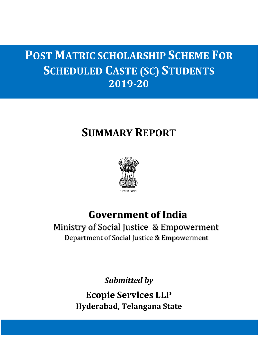# **POST MATRIC SCHOLARSHIP SCHEME FOR SCHEDULED CASTE (SC) STUDENTS 2019-20**

# **SUMMARY REPORT**



# **Government of India**

 Ministry of Social Justice & Empowerment Department of Social Justice & Empowerment

*Submitted by*

**Ecopie Services LLP Hyderabad, Telangana State**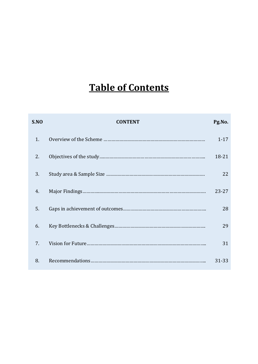# **Table of Contents**

| S.NO | <b>CONTENT</b> | Pg.No.    |
|------|----------------|-----------|
| 1.   |                | $1 - 17$  |
| 2.   |                | 18-21     |
| 3.   |                | 22        |
| 4.   |                | $23 - 27$ |
| 5.   |                | 28        |
| 6.   |                | 29        |
| 7.   |                | 31        |
| 8.   |                | 31-33     |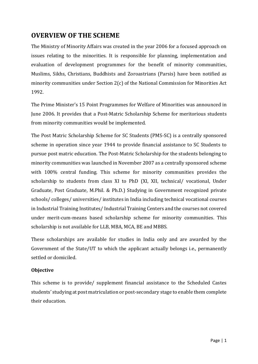# **OVERVIEW OF THE SCHEME**

The Ministry of Minority Affairs was created in the year 2006 for a focused approach on issues relating to the minorities. It is responsible for planning, implementation and evaluation of development programmes for the benefit of minority communities, Muslims, Sikhs, Christians, Buddhists and Zoroastrians (Parsis) have been notified as minority communities under Section 2(c) of the National Commission for Minorities Act 1992.

The Prime Minister's 15 Point Programmes for Welfare of Minorities was announced in June 2006. It provides that a Post-Matric Scholarship Scheme for meritorious students from minority communities would be implemented.

The Post Matric Scholarship Scheme for SC Students (PMS-SC) is a centrally sponsored scheme in operation since year 1944 to provide financial assistance to SC Students to pursue post matric education. The Post-Matric Scholarship for the students belonging to minority communities was launched in November 2007 as a centrally sponsored scheme with 100% central funding. This scheme for minority communities provides the scholarship to students from class XI to PhD (XI, XII, technical/ vocational, Under Graduate, Post Graduate, M.Phil. & Ph.D.) Studying in Government recognized private schools/ colleges/ universities/ institutes in India including technical vocational courses in Industrial Training Institutes/ Industrial Training Centers and the courses not covered under merit-cum-means based scholarship scheme for minority communities. This scholarship is not available for LLB, MBA, MCA, BE and MBBS.

These scholarships are available for studies in India only and are awarded by the Government of the State/UT to which the applicant actually belongs i.e., permanently settled or domiciled.

# **Objective**

This scheme is to provide/ supplement financial assistance to the Scheduled Castes students' studying at post matriculation or post-secondary stage to enable them complete their education.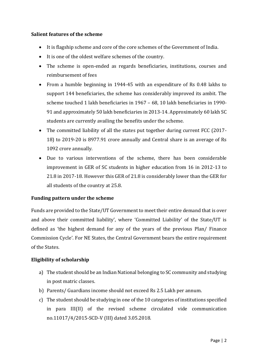# **Salient features of the scheme**

- It is flagship scheme and core of the core schemes of the Government of India.
- It is one of the oldest welfare schemes of the country.
- The scheme is open-ended as regards beneficiaries, institutions, courses and reimbursement of fees
- From a humble beginning in 1944-45 with an expenditure of Rs 0.48 lakhs to support 144 beneficiaries, the scheme has considerably improved its ambit. The scheme touched 1 lakh beneficiaries in 1967 – 68, 10 lakh beneficiaries in 1990- 91 and approximately 50 lakh beneficiaries in 2013-14. Approximately 60 lakh SC students are currently availing the benefits under the scheme.
- The committed liability of all the states put together during current FCC (2017-18) to 2019-20 is 8977.91 crore annually and Central share is an average of Rs 1092 crore annually.
- Due to various interventions of the scheme, there has been considerable improvement in GER of SC students in higher education from 16 in 2012-13 to 21.8 in 2017-18. However this GER of 21.8 is considerably lower than the GER for all students of the country at 25.8.

# **Funding pattern under the scheme**

Funds are provided to the State/UT Government to meet their entire demand that is over and above their committed liability', where 'Committed Liability' of the State/UT is defined as 'the highest demand for any of the years of the previous Plan/ Finance Commission Cycle'. For NE States, the Central Government bears the entire requirement of the States.

# **Eligibility of scholarship**

- a) The student should be an Indian National belonging to SC community and studying in post matric classes.
- b) Parents/ Guardians income should not exceed Rs 2.5 Lakh per annum.
- c) The student should be studying in one of the 10 categories of institutions specified in para III(II) of the revised scheme circulated vide communication no.11017/4/2015-SCD-V (III) dated 3.05.2018.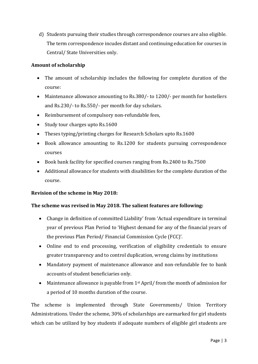d) Students pursuing their studies through correspondence courses are also eligible. The term correspondence incudes distant and continuing education for courses in Central/ State Universities only.

# **Amount of scholarship**

- The amount of scholarship includes the following for complete duration of the course:
- Maintenance allowance amounting to Rs.380/- to 1200/- per month for hostellers and Rs.230/- to Rs.550/- per month for day scholars.
- Reimbursement of compulsory non-refundable fees,
- Study tour charges upto Rs.1600
- Theses typing/printing charges for Research Scholars upto Rs.1600
- Book allowance amounting to Rs.1200 for students pursuing correspondence courses
- Book bank facility for specified courses ranging from Rs.2400 to Rs.7500
- Additional allowance for students with disabilities for the complete duration of the course.

# **Revision of the scheme in May 2018:**

# **The scheme was revised in May 2018. The salient features are following:**

- Change in definition of committed Liability' from 'Actual expenditure in terminal year of previous Plan Period to 'Highest demand for any of the financial years of the previous Plan Period/ Financial Commission Cycle (FCC)'.
- Online end to end processing, verification of eligibility credentials to ensure greater transparency and to control duplication, wrong claims by institutions
- Mandatory payment of maintenance allowance and non-refundable fee to bank accounts of student beneficiaries only.
- Maintenance allowance is payable from  $1<sup>st</sup>$  April/from the month of admission for a period of 10 months duration of the course.

The scheme is implemented through State Governments/ Union Territory Administrations. Under the scheme, 30% of scholarships are earmarked for girl students which can be utilized by boy students if adequate numbers of eligible girl students are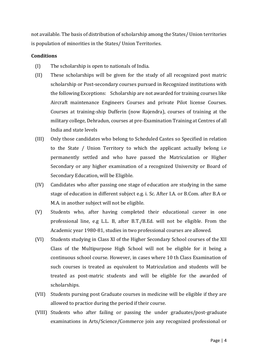not available. The basis of distribution of scholarship among the States/ Union territories is population of minorities in the States/ Union Territories.

# **Conditions**

- (I) The scholarship is open to nationals of India.
- (II) These scholarships will be given for the study of all recognized post matric scholarship or Post-secondary courses pursued in Recognized institutions with the following Exceptions: Scholarship are not awarded for training courses like Aircraft maintenance Engineers Courses and private Pilot license Courses. Courses at training-ship Dufferin (now Rajendra), courses of training at the military college, Dehradun, courses at pre-Examination Training at Centres of all India and state levels
- (III) Only those candidates who belong to Scheduled Castes so Specified in relation to the State / Union Territory to which the applicant actually belong i.e permanently settled and who have passed the Matriculation or Higher Secondary or any higher examination of a recognized University or Board of Secondary Education, will be Eligible.
- (IV) Candidates who after passing one stage of education are studying in the same stage of education in different subject e.g. i. Sc. After I.A. or B.Com. after B.A or M.A. in another subject will not be eligible.
- (V) Students who, after having completed their educational career in one professional line, e.g L.L. B, after B.T./B.Ed. will not be eligible. From the Academic year 1980-81, studies in two professional courses are allowed.
- (VI) Students studying in Class XI of the Higher Secondary School courses of the XII Class of the Multipurpose High School will not be eligible for it being a continuous school course. However, in cases where 10 th Class Examination of such courses is treated as equivalent to Matriculation and students will be treated as post-matric students and will be eligible for the awarded of scholarships.
- (VII) Students pursing post Graduate courses in medicine will be eligible if they are allowed to practice during the period if their course.
- (VIII) Students who after failing or passing the under graduates/post-graduate examinations in Arts/Science/Commerce join any recognized professional or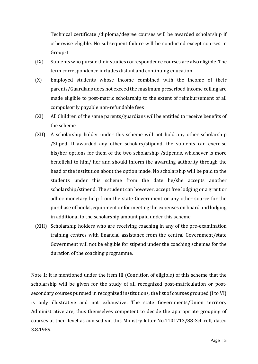Technical certificate /diploma/degree courses will be awarded scholarship if otherwise eligible. No subsequent failure will be conducted except courses in Group-1

- (IX) Students who pursue their studies correspondence courses are also eligible. The term correspondence includes distant and continuing education.
- (X) Employed students whose income combined with the income of their parents/Guardians does not exceed the maximum prescribed income ceiling are made eligible to post-matric scholarship to the extent of reimbursement of all compulsorily payable non-refundable fees
- (XI) All Children of the same parents/guardians will be entitled to receive benefits of the scheme
- (XII) A scholarship holder under this scheme will not hold any other scholarship /Stiped. If awarded any other scholars/stipend, the students can exercise his/her options for them of the two scholarship /stipends, whichever is more beneficial to him/ her and should inform the awarding authority through the head of the institution about the option made. No scholarship will be paid to the students under this scheme from the date he/she accepts another scholarship/stipend. The student can however, accept free lodging or a grant or adhoc monetary help from the state Government or any other source for the purchase of books, equipment or for meeting the expenses on board and lodging in additional to the scholarship amount paid under this scheme.
- (XIII) Scholarship holders who are receiving coaching in any of the pre-examination training centres with financial assistance from the central Government/state Government will not be eligible for stipend under the coaching schemes for the duration of the coaching programme.

Note 1: it is mentioned under the item III (Condition of eligible) of this scheme that the scholarship will be given for the study of all recognized post-matriculation or postsecondary courses pursued in recognized institutions, the list of courses grouped (I to VI) is only illustrative and not exhaustive. The state Governments/Union territory Administrative are, thus themselves competent to decide the appropriate grouping of courses at their level as advised vid this Ministry letter No.1101713/88-Sch.cell, dated 3.8.1989.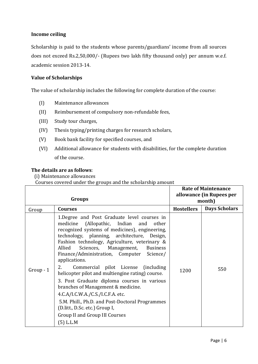# **Income ceiling**

Scholarship is paid to the students whose parents/guardians' income from all sources does not exceed Rs.2,50,000/- (Rupees two lakh fifty thousand only) per annum w.e.f. academic session 2013-14.

# **Value of Scholarships**

The value of scholarship includes the following for complete duration of the course:

- (I) Maintenance allowances
- (II) Reimbursement of compulsory non-refundable fees,
- (III) Study tour charges,
- (IV) Thesis typing/printing charges for research scholars,
- (V) Book bank facility for specified courses, and
- (VI) Additional allowance for students with disabilities, for the complete duration of the course.

# **The details are as follows**:

(i) Maintenance allowances

Courses covered under the groups and the scholarship amount

|           | Groups                                                                                                                                                                                                                                                                                                                                                                                                                                                                                                                                                                                                                                                                                                                               | <b>Rate of Maintenance</b><br>allowance (in Rupees per<br>month) |                      |
|-----------|--------------------------------------------------------------------------------------------------------------------------------------------------------------------------------------------------------------------------------------------------------------------------------------------------------------------------------------------------------------------------------------------------------------------------------------------------------------------------------------------------------------------------------------------------------------------------------------------------------------------------------------------------------------------------------------------------------------------------------------|------------------------------------------------------------------|----------------------|
| Group     | <b>Courses</b>                                                                                                                                                                                                                                                                                                                                                                                                                                                                                                                                                                                                                                                                                                                       | <b>Hostellers</b>                                                | <b>Days Scholars</b> |
| $Group-1$ | 1. Degree and Post Graduate level courses in<br>(Allopathic, Indian and<br>medicine<br>other<br>recognized systems of medicines), engineering,<br>technology, planning, architecture, Design,<br>Fashion technology, Agriculture, veterinary &<br>Allied<br>Sciences, Management,<br><b>Business</b><br>Finance/Administration, Computer<br>Science/<br>applications.<br>2.<br>Commercial pilot License (including<br>helicopter pilot and multiengine rating) course.<br>3. Post Graduate diploma courses in various<br>branches of Management & medicine.<br>4.C.A/I.C.W.A./C.S./I.C.F.A. etc.<br>5.M. Phill., Ph.D. and Post-Doctoral Programmes<br>(D.litt., D.Sc. etc.) Group I,<br>Group II and Group III Courses<br>(5) L.L.M | 1200                                                             | 550                  |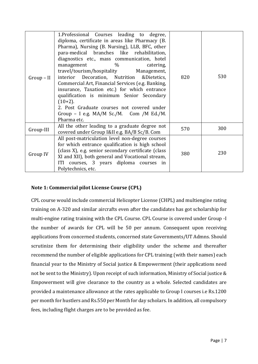| $Group-II$ | 1. Professional Courses leading to degree,<br>diploma, certificate in areas like Pharmacy (B.<br>Pharma), Nursing (B. Nursing), LLB, BFC, other<br>para-medical branches like rehabilitation,<br>diagnostics etc., mass communication, hotel<br>$\%$<br>management<br>catering,<br>travel/tourism/hospitality Management,<br>interior Decoration, Nutrition & Dietetics,<br>Commercial Art, Financial Services (e.g. Banking,<br>insurance, Taxation etc.) for which entrance<br>qualification is minimum Senior Secondary<br>$(10+2)$ .<br>2. Post Graduate courses not covered under<br>Group - I e.g. $MA/M$ Sc./M. Com /M Ed./M.<br>Pharma etc. | 820 | 530 |
|------------|-----------------------------------------------------------------------------------------------------------------------------------------------------------------------------------------------------------------------------------------------------------------------------------------------------------------------------------------------------------------------------------------------------------------------------------------------------------------------------------------------------------------------------------------------------------------------------------------------------------------------------------------------------|-----|-----|
| Group-III  | All the other leading to a graduate degree not<br>covered under Group I&II e.g. BA/B Sc/B. Com                                                                                                                                                                                                                                                                                                                                                                                                                                                                                                                                                      | 570 | 300 |
| Group IV   | All post-matriculation level non-degree courses<br>for which entrance qualification is high school<br>(class X), e.g. senior secondary certificate (class)<br>XI and XII), both general and Vocational stream,<br>ITI courses, 3 years diploma courses in<br>Polytechnics, etc.                                                                                                                                                                                                                                                                                                                                                                     | 380 | 230 |

# **Note 1: Commercial pilot License Course (CPL)**

CPL course would include commercial Helicopter License (CHPL) and multiengine rating training on A-320 and similar aircrafts even after the candidates has got scholarship for multi-engine rating training with the CPL Course. CPL Course is covered under Group -I the number of awards for CPL will be 50 per annum. Consequent upon receiving applications from concerned students, concerned state Governments/UT Admns. Should scrutinize them for determining their eligibility under the scheme and thereafter recommend the number of eligible applications for CPL training (with their names) each financial year to the Ministry of Social justice & Empowerment (their applications need not be sent to the Ministry). Upon receipt of such information, Ministry of Social justice & Empowerment will give clearance to the country as a whole. Selected candidates are provided a maintenance allowance at the rates applicable to Group I courses i.e Rs.1200 per month for hustlers and Rs.550 per Month for day scholars. In addition, all compulsory fees, including flight charges are to be provided as fee.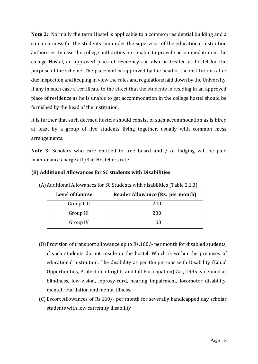**Note 2:** Normally the term Hostel is applicable to a common residential building and a common mess for the students run under the supervisor of the educational institution authorities. In case the college authorities are unable to provide accommodation in the college Hostel, an approved place of residency can also be treated as hostel for the purpose of the scheme. The place will be approved by the head of the institutions after due inspection and keeping in view the rules and regulations laid down by the University. If any in such case a certificate to the effect that the students is residing in an approved place of residence as he is unable to get accommodation in the college hostel should be furnished by the head of the institution.

It is further that such deemed hostels should consist of such accommodation as is hired at least by a group of five students living together, usually with common mess arrangements.

**Note 3:** Scholars who care entitled to free board and / or lodging will be paid maintenance charge at1/3 at Hostellers rate

# **(ii) Additional Allowances for SC students with Disabilities**

| <b>Level of Course</b> | Reader Allowance (Rs. per month) |
|------------------------|----------------------------------|
| Group I, II            | 240                              |
| Group III              | 200                              |
| Group IV               | 160                              |

(A)Additional Allowances for SC Students with disabilities (Table 2.1.3)

- (B)Provision of transport allowance up to Rs.160/- per month for disabled students, if such students do not reside in the hostel. Which is within the premises of educational institution. The disability as per the persons with Disability (Equal Opportunities, Protection of rights and full Participation) Act, 1995 is defined as blindness, low-vision, leprosy-curd, hearing impairment, locomotor disability, mental retardation and mental illness.
- (C) Escort Allowances of Rs.160/- per month for severally handicapped day scholar students with low extremity disability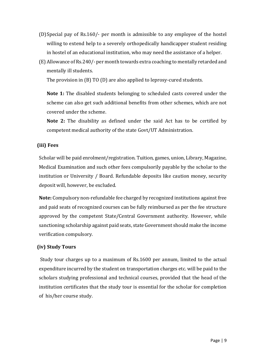- (D)Special pay of Rs.160/- per month is admissible to any employee of the hostel willing to extend help to a severely orthopedically handicapper student residing in hostel of an educational institution, who may need the assistance of a helper.
- (E) Allowance of Rs.240/- per month towards extra coaching to mentally retarded and mentally ill students.

The provision in (B) TO (D) are also applied to leprosy-cured students.

**Note 1:** The disabled students belonging to scheduled casts covered under the scheme can also get such additional benefits from other schemes, which are not covered under the scheme.

**Note 2:** The disability as defined under the said Act has to be certified by competent medical authority of the state Govt/UT Administration.

# **(iii) Fees**

Scholar will be paid enrolment/registration. Tuition, games, union, Library, Magazine, Medical Examination and such other fees compulsorily payable by the scholar to the institution or University / Board. Refundable deposits like caution money, security deposit will, however, be excluded.

**Note:** Compulsory non-refundable fee charged by recognized institutions against free and paid seats of recognized courses can be fully reimbursed as per the fee structure approved by the competent State/Central Government authority. However, while sanctioning scholarship against paid seats, state Government should make the income verification compulsory.

# **(iv) Study Tours**

Study tour charges up to a maximum of Rs.1600 per annum, limited to the actual expenditure incurred by the student on transportation charges etc. will be paid to the scholars studying professional and technical courses, provided that the head of the institution certificates that the study tour is essential for the scholar for completion of his/her course study.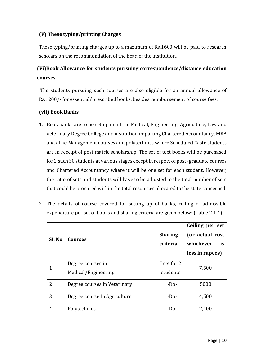# **(V) These typing/printing Charges**

These typing/printing charges up to a maximum of Rs.1600 will be paid to research scholars on the recommendation of the head of the institution.

# **(Vi)Book Allowance for students pursuing correspondence/distance education courses**

The students pursuing such courses are also eligible for an annual allowance of Rs.1200/- for essential/prescribed books, besides reimbursement of course fees.

# **(vii) Book Banks**

- 1. Book banks are to be set up in all the Medical, Engineering, Agriculture, Law and veterinary Degree College and institution imparting Chartered Accountancy, MBA and alike Management courses and polytechnics where Scheduled Caste students are in receipt of post matric scholarship. The set of text books will be purchased for 2 such SC students at various stages except in respect of post- graduate courses and Chartered Accountancy where it will be one set for each student. However, the ratio of sets and students will have to be adjusted to the total number of sets that could be procured within the total resources allocated to the state concerned.
- 2. The details of course covered for setting up of banks, ceiling of admissible expenditure per set of books and sharing criteria are given below: (Table 2.1.4)

| SI. No | <b>Courses</b>                           | <b>Sharing</b><br>criteria | Ceiling per set<br>(or actual cost<br>whichever<br>is<br>less in rupees) |
|--------|------------------------------------------|----------------------------|--------------------------------------------------------------------------|
| 1      | Degree courses in<br>Medical/Engineering | I set for 2<br>students    | 7,500                                                                    |
| 2      | Degree courses in Veterinary             | $-Do-$                     | 5000                                                                     |
| 3      | Degree course In Agriculture             | $-Do-$                     | 4,500                                                                    |
| 4      | Polytechnics                             | $-Do-$                     | 2,400                                                                    |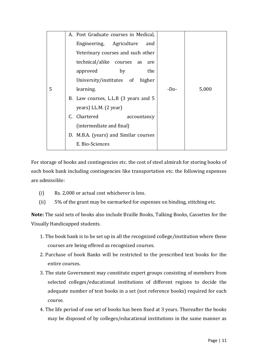|   |                          | A. Post Graduate courses in Medical,  |        |       |
|---|--------------------------|---------------------------------------|--------|-------|
|   |                          | Engineering, Agriculture<br>and       |        |       |
|   |                          | Veterinary courses and such other     |        |       |
|   |                          | technical/alike courses as<br>are     |        |       |
|   |                          | the<br>approved<br>by                 |        |       |
|   |                          | University/institutes of higher       |        |       |
| 5 |                          | learning.                             | $-Do-$ | 5,000 |
|   |                          | B. Law courses, L.L.B (3 years and 5  |        |       |
|   |                          | years) LL.M. (2 year)                 |        |       |
|   |                          | C. Chartered<br>accountancy           |        |       |
|   | (intermediate and final) |                                       |        |       |
|   |                          | D. M.B.A. (years) and Similar courses |        |       |
|   |                          | E. Bio-Sciences                       |        |       |
|   |                          |                                       |        |       |

For storage of books and contingencies etc. the cost of steel almirah for storing books of each book bank including contingencies like transportation etc. the following expenses are admissible:

- (i) Rs. 2,000 or actual cost whichever is less.
- (ii) 5% of the grant may be earmarked for expenses on binding, stitching etc.

**Note:** The said sets of books also include Braille Books, Talking Books, Cassettes for the Visually Handicapped students.

- 1. The book bank is to be set up in all the recognized college/institution where these courses are being offered as recognized courses.
- 2. Purchase of book Banks will be restricted to the prescribed text books for the entire courses.
- 3. The state Government may constitute expert groups consisting of members from selected colleges/educational institutions of different regions to decide the adequate number of text books in a set (not reference books) required for each course.
- 4. The life period of one set of books has been fixed at 3 years. Thereafter the books may be disposed of by colleges/educational institutions in the same manner as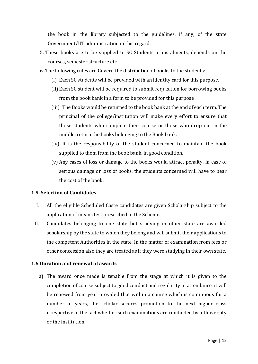the book in the library subjected to the guidelines, if any, of the state Government/UT administration in this regard

- 5. These books are to be supplied to SC Students in instalments, depends on the courses, semester structure etc.
- 6. The following rules are Govern the distribution of books to the students:
	- (i) Each SC students will be provided with an identity card for this purpose.
	- (ii) Each SC student will be required to submit requisition for borrowing books from the book bank in a form to be provided for this purpose
	- (iii) The Books would be returned to the book bank at the end of each term. The principal of the college/institution will make every effort to ensure that those students who complete their course or those who drop out in the middle, return the books belonging to the Book bank.
	- (iv) It is the responsibility of the student concerned to maintain the book supplied to them from the book bank, in good condition.
	- (v) Any cases of loss or damage to the books would attract penalty. In case of serious damage or loss of books, the students concerned will have to bear the cost of the book.

# **1.5. Selection of Candidates**

- I. All the eligible Scheduled Caste candidates are given Scholarship subject to the application of means test prescribed in the Scheme.
- II. Candidates belonging to one state but studying in other state are awarded scholarship by the state to which they belong and will submit their applications to the competent Authorities in the state. In the matter of examination from fees or other concession also they are treated as if they were studying in their own state.

#### **1.6 Duration and renewal of awards**

a) The award once made is tenable from the stage at which it is given to the completion of course subject to good conduct and regularity in attendance, it will be renewed from year provided that within a course which is continuous for a number of years, the scholar secures promotion to the next higher class irrespective of the fact whether such examinations are conducted by a University or the institution.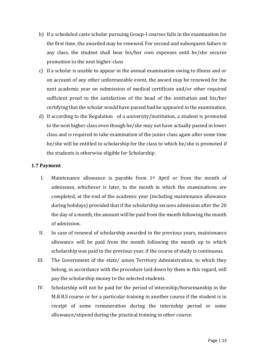- b) If a scheduled caste scholar pursuing Group-I courses fails in the examination for the first time, the awarded may be renewed. For second and subsequent failure in any class, the student shall bear his/her own expenses until he/she secures promotion to the next higher-class
- c) If a scholar is unable to appear in the annual examination owing to illness and or on account of any other unforeseeable event, the award may be renewed for the next academic year on submission of medical certificate and/or other required sufficient proof to the satisfaction of the head of the institution and his/her certifying that the scholar would have passed had he appeared in the examination.
- d) If according to the Regulation of a university/institution, a student is promoted to the next higher class even though he/she may not have actually passed in lower class and is required to take examination of the junior class again after some time he/she will be entitled to scholarship for the class to which he/she is promoted if the students is otherwise eligible for Scholarship.

# **1.7 Payment**

- I. Maintenance allowance is payable from  $1<sup>st</sup>$  April or from the month of admission, whichever is later, to the month in which the examinations are completed, at the end of the academic year (including maintenance allowance during holidays) provided that if the scholarship secures admission after the 20 the day of a month, the amount will be paid from the month following the month of admission.
- II. In case of renewal of scholarship awarded in the previous years, maintenance allowance will be paid from the month following the month up to which scholarship was paid in the previous year, if the course of study is continuous.
- III. The Government of the state/ union Territory Administration, to which they belong, in accordance with the procedure laid down by them in this regard, will pay the scholarship money to the selected students.
- IV. Scholarship will not be paid for the period of internship/horsemanship in the M.B.B.S course or for a particular training in another course if the student is in receipt of some remuneration during the internship period or some allowance/stipend during the practical training in other course.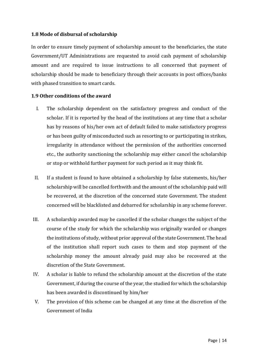# **1.8 Mode of disbursal of scholarship**

In order to ensure timely payment of scholarship amount to the beneficiaries, the state Government/UT Administrations are requested to avoid cash payment of scholarship amount and are required to issue instructions to all concerned that payment of scholarship should be made to beneficiary through their accounts in post offices/banks with phased transition to smart cards.

# **1.9 Other conditions of the award**

- I. The scholarship dependent on the satisfactory progress and conduct of the scholar. If it is reported by the head of the institutions at any time that a scholar has by reasons of his/her own act of default failed to make satisfactory progress or has been guilty of misconducted such as resorting to or participating in strikes, irregularity in attendance without the permission of the authorities concerned etc., the authority sanctioning the scholarship may either cancel the scholarship or stop or withhold further payment for such period as it may think fit.
- II. If a student is found to have obtained a scholarship by false statements, his/her scholarship will be cancelled forthwith and the amount of the scholarship paid will be recovered, at the discretion of the concerned state Government. The student concerned will be blacklisted and debarred for scholarship in any scheme forever.
- III. A scholarship awarded may be cancelled if the scholar changes the subject of the course of the study for which the scholarship was originally warded or changes the institutions of study, without prior approval of the state Government. The head of the institution shall report such cases to them and stop payment of the scholarship money the amount already paid may also be recovered at the discretion of the State Government.
- IV. A scholar is liable to refund the scholarship amount at the discretion of the state Government, if during the course of the year, the studied for which the scholarship has been awarded is discontinued by him/her
- V. The provision of this scheme can be changed at any time at the discretion of the Government of India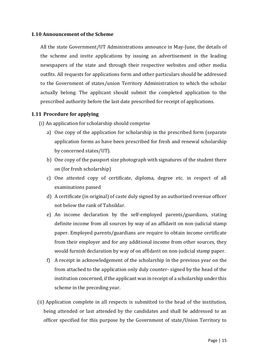#### **1.10 Announcement of the Scheme**

All the state Government/UT Administrations announce in May-June, the details of the scheme and invite applications by issuing an advertisement in the leading newspapers of the state and through their respective websites and other media outfits. All requests for applications form and other particulars should be addressed to the Government of states/union Territory Administration to which the scholar actually belong. The applicant should submit the completed application to the prescribed authority before the last date prescribed for receipt of applications.

# **1.11 Procedure for applying**

- (i) An application for scholarship should comprise
	- a) One copy of the application for scholarship in the prescribed form (separate application forms as have been prescribed for fresh and renewal scholarship by concerned states/UT).
	- b) One copy of the passport size photograph with signatures of the student there on (for fresh scholarship)
	- c) One attested copy of certificate, diploma, degree etc. in respect of all examinations passed
	- d) A certificate (in original) of caste duly signed by an authorized revenue officer not below the rank of Tahsildar.
	- e) An income declaration by the self-employed parents/guardians, stating definite income from all sources by way of an affidavit on non-judicial stamp paper. Employed parents/guardians are require to obtain income certificate from their employer and for any additional income from other sources, they would furnish declaration by way of on affidavit on non-judicial stamp paper.
	- f) A receipt in acknowledgement of the scholarship in the previous year on the from attached to the application only duly counter- signed by the head of the institution concerned, if the applicant was in receipt of a scholarship under this scheme in the preceding year.
- (ii) Application complete in all respects is submitted to the head of the institution, being attended or last attended by the candidates and shall be addressed to an officer specified for this purpose by the Government of state/Union Territory to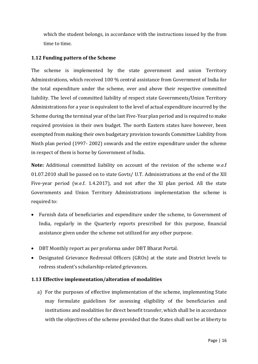which the student belongs, in accordance with the instructions issued by the from time to time.

# **1.12 Funding pattern of the Scheme**

The scheme is implemented by the state government and union Territory Administrations, which received 100 % central assistance from Government of India for the total expenditure under the scheme, over and above their respective committed liability. The level of committed liability of respect state Governments/Union Territory Administrations for a year is equivalent to the level of actual expenditure incurred by the Scheme during the terminal year of the last Five-Year plan period and is required to make required provision in their own budget. The north Eastern states have however, been exempted from making their own budgetary provision towards Committee Liability from Ninth plan period (1997- 2002) onwards and the entire expenditure under the scheme in respect of them is borne by Government of India.

**Note:** Additional committed liability on account of the revision of the scheme w.e.f 01.07.2010 shall be passed on to state Govts/ U.T. Administrations at the end of the XII Five-year period (w.e.f. 1.4.2017), and not after the XI plan period. All the state Governments and Union Territory Administrations implementation the scheme is required to:

- Furnish data of beneficiaries and expenditure under the scheme, to Government of India, regularly in the Quarterly reports prescribed for this purpose, financial assistance given under the scheme not utilized for any other purpose.
- DBT Monthly report as per proforma under DBT Bharat Portal.
- Designated Grievance Redressal Officers (GROs) at the state and District levels to redress student's scholarship-related grievances.

# **1.13 Effective implementation/alteration of modalities**

a) For the purposes of effective implementation of the scheme, implementing State may formulate guidelines for assessing eligibility of the beneficiaries and institutions and modalities for direct benefit transfer, which shall be in accordance with the objectives of the scheme provided that the States shall not be at liberty to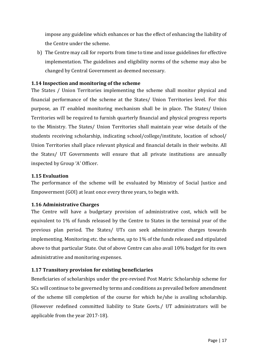impose any guideline which enhances or has the effect of enhancing the liability of the Centre under the scheme.

b) The Centre may call for reports from time to time and issue guidelines for effective implementation. The guidelines and eligibility norms of the scheme may also be changed by Central Government as deemed necessary.

# **1.14 Inspection and monitoring of the scheme**

The States / Union Territories implementing the scheme shall monitor physical and financial performance of the scheme at the States/ Union Territories level. For this purpose, an IT enabled monitoring mechanism shall be in place. The States/ Union Territories will be required to furnish quarterly financial and physical progress reports to the Ministry. The States/ Union Territories shall maintain year wise details of the students receiving scholarship, indicating school/college/institute, location of school/ Union Territories shall place relevant physical and financial details in their website. All the States/ UT Governments will ensure that all private institutions are annually inspected by Group 'A' Officer.

# **1.15 Evaluation**

The performance of the scheme will be evaluated by Ministry of Social Justice and Empowerment (GOI) at least once every three years, to begin with.

#### **1.16 Administrative Charges**

The Centre will have a budgetary provision of administrative cost, which will be equivalent to 1% of funds released by the Centre to States in the terminal year of the previous plan period. The States/ UTs can seek administrative charges towards implementing. Monitoring etc. the scheme, up to 1% of the funds released and stipulated above to that particular State. Out of above Centre can also avail 10% budget for its own administrative and monitoring expenses.

# **1.17 Transitory provision for existing beneficiaries**

Beneficiaries of scholarships under the pre-revised Post Matric Scholarship scheme for SCs will continue to be governed by terms and conditions as prevailed before amendment of the scheme till completion of the course for which he/she is availing scholarship. (However redefined committed liability to State Govts./ UT administrators will be applicable from the year 2017-18).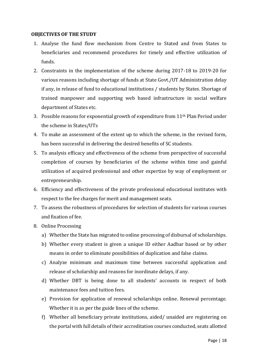#### **OBJECTIVES OF THE STUDY**

- 1. Analyse the fund flow mechanism from Centre to Stated and from States to beneficiaries and recommend procedures for timely and effective utilization of funds.
- 2. Constraints in the implementation of the scheme during 2017-18 to 2019-20 for various reasons including shortage of funds at State Govt./UT Administration delay if any, in release of fund to educational institutions / students by States. Shortage of trained manpower and supporting web based infrastructure in social welfare department of States etc.
- 3. Possible reasons for exponential growth of expenditure from 11th Plan Period under the scheme in States/UTs
- 4. To make an assessment of the extent up to which the scheme, in the revised form, has been successful in delivering the desired benefits of SC students.
- 5. To analysis efficacy and effectiveness of the scheme from perspective of successful completion of courses by beneficiaries of the scheme within time and gainful utilization of acquired professional and other expertize by way of employment or entrepreneurship.
- 6. Efficiency and effectiveness of the private professional educational institutes with respect to the fee charges for merit and management seats.
- 7. To assess the robustness of procedures for selection of students for various courses and fixation of fee.
- 8. Online Processing
	- a) Whether the State has migrated to online processing of disbursal of scholarships.
	- b) Whether every student is given a unique ID either Aadhar based or by other means in order to eliminate possibilities of duplication and false claims.
	- c) Analyze minimum and maximum time between successful application and release of scholarship and reasons for inordinate delays, if any.
	- d) Whether DBT is being done to all students' accounts in respect of both maintenance fees and tuition fees.
	- e) Provision for application of renewal scholarships online. Renewal percentage. Whether it is as per the guide lines of the scheme.
	- f) Whether all beneficiary private institutions, aided/ unaided are registering on the portal with full details of their accreditation courses conducted, seats allotted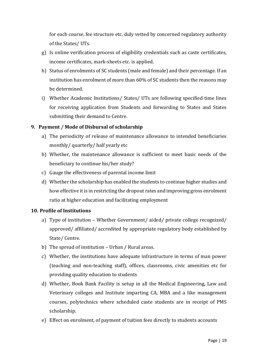for each course, fee structure etc. duly vetted by concerned regulatory authority of the States/ UTs.

- g) Is online verification process of eligibility credentials such as caste certificates, income certificates, mark-sheets etc. is applied.
- h) Status of enrolments of SC students (male and female) and their percentage. If an institution has enrolment of more than 60% of SC students then the reasons may be determined.
- i) Whether Academic Institutions/ States/ UTs are following specified time lines for receiving application from Students and forwarding to States and States submitting their demand to Centre.

# **9. Payment / Mode of Disbursal of scholarship**

- a) The periodicity of release of maintenance allowance to intended beneficiaries monthly/ quarterly/ half yearly etc
- b) Whether, the maintenance allowance is sufficient to meet basic needs of the beneficiary to continue his/her study?
- c) Gauge the effectiveness of parental income limit
- d) Whether the scholarship has enabled the students to continue higher studies and how effective it is in restricting the dropout rates and improving gross enrolment ratio at higher education and facilitating employment

# **10. Profile of Institutions**

- a) Type of institution Whether Government/ aided/ private college recognized/ approved/ affiliated/ accredited by appropriate regulatory body established by State/ Centre.
- b) The spread of institution Urban / Rural areas.
- c) Whether, the institutions have adequate infrastructure in terms of man power (teaching and non-teaching staff), offices, classrooms, civic amenities etc for providing quality education to students
- d) Whether, Book Bank Facility is setup in all the Medical Engineering, Law and Veterinary colleges and Institute imparting CA, MBA and a like management courses, polytechnics where scheduled caste students are in receipt of PMS scholarship.
- e) Effect on enrolment, of payment of tuition fees directly to students accounts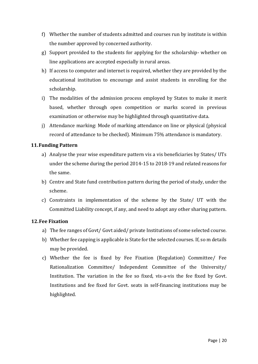- f) Whether the number of students admitted and courses run by institute is within the number approved by concerned authority.
- g) Support provided to the students for applying for the scholarship- whether on line applications are accepted especially in rural areas.
- h) If access to computer and internet is required, whether they are provided by the educational institution to encourage and assist students in enrolling for the scholarship.
- i) The modalities of the admission process employed by States to make it merit based, whether through open competition or marks scored in previous examination or otherwise may be highlighted through quantitative data.
- j) Attendance marking: Mode of marking attendance on line or physical (physical record of attendance to be checked). Minimum 75% attendance is mandatory.

# **11.Funding Pattern**

- a) Analyse the year wise expenditure pattern vis a vis beneficiaries by States/ UTs under the scheme during the period 2014-15 to 2018-19 and related reasons for the same.
- b) Centre and State fund contribution pattern during the period of study, under the scheme.
- c) Constraints in implementation of the scheme by the State/ UT with the Committed Liability concept, if any, and need to adopt any other sharing pattern.

# **12.Fee Fixation**

- a) The fee ranges of Govt/ Govt aided/ private Institutions of some selected course.
- b) Whether fee capping is applicable is State for the selected courses. If, so m details may be provided.
- c) Whether the fee is fixed by Fee Fixation (Regulation) Committee/ Fee Rationalization Committee/ Independent Committee of the University/ Institution. The variation in the fee so fixed, vis-a-vis the fee fixed by Govt. Institutions and fee fixed for Govt. seats in self-financing institutions may be highlighted.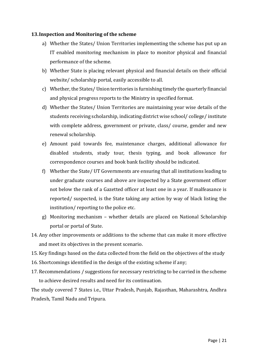#### **13.Inspection and Monitoring of the scheme**

- a) Whether the States/ Union Territories implementing the scheme has put up an IT enabled monitoring mechanism in place to monitor physical and financial performance of the scheme.
- b) Whether State is placing relevant physical and financial details on their official website/ scholarship portal, easily accessible to all.
- c) Whether, the States/ Union territories is furnishing timely the quarterly financial and physical progress reports to the Ministry in specified format.
- d) Whether the States/ Union Territories are maintaining year wise details of the students receiving scholarship, indicating district wise school/ college/ institute with complete address, government or private, class/ course, gender and new renewal scholarship.
- e) Amount paid towards fee, maintenance charges, additional allowance for disabled students, study tour, thesis typing, and book allowance for correspondence courses and book bank facility should be indicated.
- f) Whether the State/ UT Governments are ensuring that all institutions leading to under graduate courses and above are inspected by a State government officer not below the rank of a Gazetted officer at least one in a year. If malfeasance is reported/ suspected, is the State taking any action by way of black listing the institution/ reporting to the police etc.
- g) Monitoring mechanism whether details are placed on National Scholarship portal or portal of State.
- 14. Any other improvements or additions to the scheme that can make it more effective and meet its objectives in the present scenario.
- 15. Key findings based on the data collected from the field on the objectives of the study
- 16. Shortcomings identified in the design of the existing scheme if any;
- 17. Recommendations / suggestions for necessary restricting to be carried in the scheme to achieve desired results and need for its continuation.

The study covered 7 States i.e., Uttar Pradesh, Punjab, Rajasthan, Maharashtra, Andhra Pradesh, Tamil Nadu and Tripura.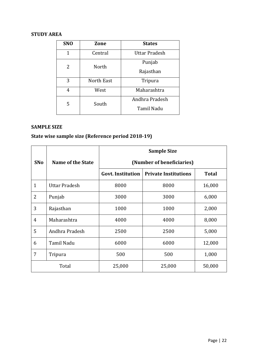# **STUDY AREA**

| <b>SNO</b> | Zone       | <b>States</b>     |
|------------|------------|-------------------|
| 1          | Central    | Uttar Pradesh     |
| 2          | North      | Punjab            |
|            |            | Rajasthan         |
| 3          | North East | Tripura           |
| 4          | West       | Maharashtra       |
| 5          | South      | Andhra Pradesh    |
|            |            | <b>Tamil Nadu</b> |

# **SAMPLE SIZE**

# **State wise sample size (Reference period 2018-19)**

|                |                   | <b>Sample Size</b>        |                             |              |  |
|----------------|-------------------|---------------------------|-----------------------------|--------------|--|
| <b>SNo</b>     | Name of the State | (Number of beneficiaries) |                             |              |  |
|                |                   | <b>Govt. Institution</b>  | <b>Private Institutions</b> | <b>Total</b> |  |
| $\mathbf{1}$   | Uttar Pradesh     | 8000                      | 8000                        | 16,000       |  |
| $\overline{2}$ | Punjab            | 3000                      | 3000                        | 6,000        |  |
| 3              | Rajasthan         | 1000                      | 1000                        | 2,000        |  |
| 4              | Maharashtra       | 4000                      | 4000                        | 8,000        |  |
| 5              | Andhra Pradesh    | 2500                      | 2500                        | 5,000        |  |
| 6              | Tamil Nadu        | 6000                      | 6000                        | 12,000       |  |
| 7              | Tripura           | 500                       | 500                         | 1,000        |  |
| Total          |                   | 25,000                    | 25,000                      | 50,000       |  |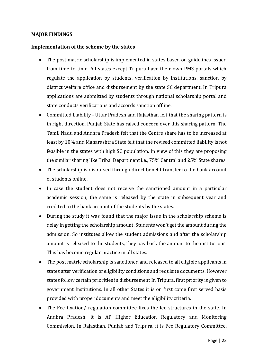#### **MAJOR FINDINGS**

#### **Implementation of the scheme by the states**

- The post matric scholarship is implemented in states based on guidelines issued from time to time. All states except Tripura have their own PMS portals which regulate the application by students, verification by institutions, sanction by district welfare office and disbursement by the state SC department. In Tripura applications are submitted by students through national scholarship portal and state conducts verifications and accords sanction offline.
- Committed Liability Uttar Pradesh and Rajasthan felt that the sharing pattern is in right direction. Punjab State has raised concern over this sharing pattern. The Tamil Nadu and Andhra Pradesh felt that the Centre share has to be increased at least by 10% and Maharashtra State felt that the revised committed liability is not feasible in the states with high SC population. In view of this they are proposing the similar sharing like Tribal Department i.e., 75% Central and 25% State shares.
- The scholarship is disbursed through direct benefit transfer to the bank account of students online.
- In case the student does not receive the sanctioned amount in a particular academic session, the same is released by the state in subsequent year and credited to the bank account of the students by the states.
- During the study it was found that the major issue in the scholarship scheme is delay in getting the scholarship amount. Students won't get the amount during the admission. So institutes allow the student admissions and after the scholarship amount is released to the students, they pay back the amount to the institutions. This has become regular practice in all states.
- The post matric scholarship is sanctioned and released to all eligible applicants in states after verification of eligibility conditions and requisite documents. However states follow certain priorities in disbursement In Tripura, first priority is given to government Institutions. In all other States it is on first come first served basis provided with proper documents and meet the eligibility criteria.
- The Fee fixation/ regulation committee fixes the fee structures in the state. In Andhra Pradesh, it is AP Higher Education Regulatory and Monitoring Commission. In Rajasthan, Punjab and Tripura, it is Fee Regulatory Committee.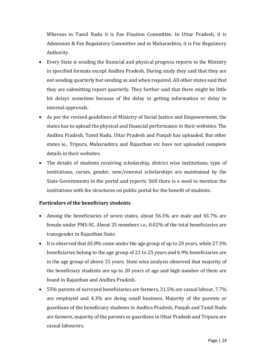Whereas in Tamil Nadu it is Fee Fixation Committee. In Uttar Pradesh, it is Admission & Fee Regulatory Committee and in Maharashtra, it is Fee Regulatory Authority.

- Every State is sending the financial and physical progress reports to the Ministry in specified formats except Andhra Pradesh. During study they said that they are not sending quarterly but sending as and when required. All other states said that they are submitting report quarterly. They further said that there might be little bit delays sometime because of the delay in getting information or delay in internal approvals.
- As per the revised guidelines of Ministry of Social Justice and Empowerment, the states has to upload the physical and financial performance in their websites. The Andhra Pradesh, Tamil Nadu, Uttar Pradesh and Punjab has uploaded. But other states ie., Tripura, Maharashtra and Rajasthan etc have not uploaded complete details in their websites.
- The details of students receiving scholarship, district wise institutions, type of institutions, curses, gender, new/renewal scholarships are maintained by the State Governments in the portal and reports. Still there is a need to mention the institutions with fee structures on public portal for the benefit of students.

# **Particulars of the beneficiary students**

- Among the beneficiaries of seven states, about 56.3% are male and 43.7% are female under PMS-SC. About 25 members i.e., 0.02% of the total beneficiaries are transgender in Rajasthan State.
- It is observed that 65.8% come under the age group of up to 20 years, while 27.3% beneficiaries belong to the age group of 21 to 25 years and 6.9% beneficiaries are in the age group of above 25 years. State wise analysis observed that majority of the beneficiary students are up to 20 years of age and high number of them are found in Rajasthan and Andhra Pradesh.
- 55% parents of surveyed beneficiaries are farmers, 31.5% are casual labour, 7.7% are employed and 4.3% are doing small business. Majority of the parents or guardians of the beneficiary students in Andhra Pradesh, Punjab and Tamil Nadu are farmers, majority of the parents or guardians in Uttar Pradesh and Tripura are casual labourers.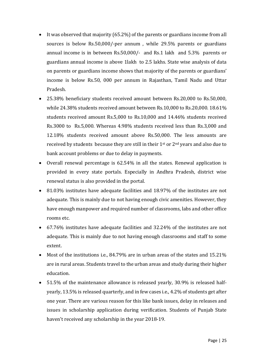- It was observed that majority (65.2%) of the parents or guardians income from all sources is below Rs.50,000/-per annum , while 29.5% parents or guardians annual income is in between Rs.50,000/- and Rs.1 lakh and 5.3% parents or guardians annual income is above 1lakh to 2.5 lakhs. State wise analysis of data on parents or guardians income shows that majority of the parents or guardians' income is below Rs.50, 000 per annum in Rajasthan, Tamil Nadu and Uttar Pradesh.
- 25.38% beneficiary students received amount between Rs.20,000 to Rs.50,000, while 24.38% students received amount between Rs.10,000 to Rs.20,000. 18.61% students received amount Rs.5,000 to Rs.10,000 and 14.46% students received Rs.3000 to Rs.5,000. Whereas 4.98% students received less than Rs.3,000 and 12.18% students received amount above Rs.50,000. The less amounts are received by students because they are still in their 1st or 2nd years and also due to bank account problems or due to delay in payments.
- Overall renewal percentage is 62.54% in all the states. Renewal application is provided in every state portals. Especially in Andhra Pradesh, district wise renewal status is also provided in the portal.
- 81.03% institutes have adequate facilities and 18.97% of the institutes are not adequate. This is mainly due to not having enough civic amenities. However, they have enough manpower and required number of classrooms, labs and other office rooms etc.
- 67.76% institutes have adequate facilities and 32.24% of the institutes are not adequate. This is mainly due to not having enough classrooms and staff to some extent.
- Most of the institutions i.e., 84.79% are in urban areas of the states and 15.21% are in rural areas. Students travel to the urban areas and study during their higher education.
- 51.5% of the maintenance allowance is released yearly, 30.9% is released halfyearly, 13.5% is released quarterly, and in few cases i.e., 4.2% of students get after one year. There are various reason for this like bank issues, delay in releases and issues in scholarship application during verification. Students of Punjab State haven't received any scholarship in the year 2018-19.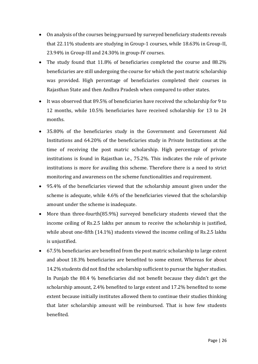- On analysis of the courses being pursued by surveyed beneficiary students reveals that 22.11% students are studying in Group-1 courses, while 18.63% in Group-II, 23.94% in Group-III and 24.30% in group-IV courses.
- The study found that 11.8% of beneficiaries completed the course and 88.2% beneficiaries are still undergoing the course for which the post matric scholarship was provided. High percentage of beneficiaries completed their courses in Rajasthan State and then Andhra Pradesh when compared to other states.
- It was observed that 89.5% of beneficiaries have received the scholarship for 9 to 12 months, while 10.5% beneficiaries have received scholarship for 13 to 24 months.
- 35.80% of the beneficiaries study in the Government and Government Aid Institutions and 64.20% of the beneficiaries study in Private Institutions at the time of receiving the post matric scholarship. High percentage of private institutions is found in Rajasthan i.e., 75.2%. This indicates the role of private institutions is more for availing this scheme. Therefore there is a need to strict monitoring and awareness on the scheme functionalities and requirement.
- 95.4% of the beneficiaries viewed that the scholarship amount given under the scheme is adequate, while 4.6% of the beneficiaries viewed that the scholarship amount under the scheme is inadequate.
- More than three-fourth(85.9%) surveyed beneficiary students viewed that the income ceiling of Rs.2.5 lakhs per annum to receive the scholarship is justified, while about one-fifth (14.1%) students viewed the income ceiling of Rs.2.5 lakhs is unjustified.
- 67.5% beneficiaries are benefited from the post matric scholarship to large extent and about 18.3% beneficiaries are benefited to some extent. Whereas for about 14.2% students did not find the scholarship sufficient to pursue the higher studies. In Punjab the 80.4 % beneficiaries did not benefit because they didn't get the scholarship amount, 2.4% benefited to large extent and 17.2% benefited to some extent because initially institutes allowed them to continue their studies thinking that later scholarship amount will be reimbursed. That is how few students benefited.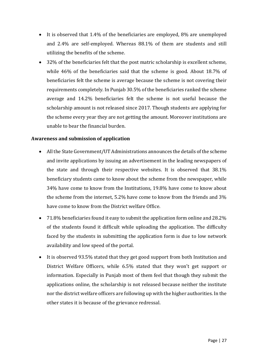- It is observed that 1.4% of the beneficiaries are employed, 8% are unemployed and 2.4% are self-employed. Whereas 88.1% of them are students and still utilizing the benefits of the scheme.
- 32% of the beneficiaries felt that the post matric scholarship is excellent scheme, while 46% of the beneficiaries said that the scheme is good. About 18.7% of beneficiaries felt the scheme is average because the scheme is not covering their requirements completely. In Punjab 30.5% of the beneficiaries ranked the scheme average and 14.2% beneficiaries felt the scheme is not useful because the scholarship amount is not released since 2017. Though students are applying for the scheme every year they are not getting the amount. Moreover institutions are unable to bear the financial burden.

#### **Awareness and submission of application**

- All the State Government/UT Administrations announces the details of the scheme and invite applications by issuing an advertisement in the leading newspapers of the state and through their respective websites. It is observed that 38.1% beneficiary students came to know about the scheme from the newspaper, while 34% have come to know from the Institutions, 19.8% have come to know about the scheme from the internet, 5.2% have come to know from the friends and 3% have come to know from the District welfare Office.
- 71.8% beneficiaries found it easy to submit the application form online and 28.2% of the students found it difficult while uploading the application. The difficulty faced by the students in submitting the application form is due to low network availability and low speed of the portal.
- It is observed 93.5% stated that they get good support from both Institution and District Welfare Officers, while 6.5% stated that they won't get support or information. Especially in Punjab most of them feel that though they submit the applications online, the scholarship is not released because neither the institute nor the district welfare officers are following up with the higher authorities. In the other states it is because of the grievance redressal.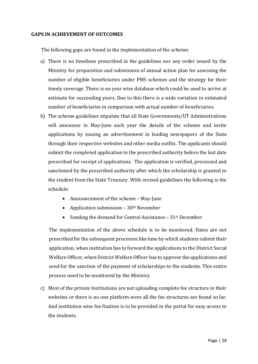#### **GAPS IN ACHIEVEMENT OF OUTCOMES**

The following gaps are found in the implementation of the scheme:

- a) There is no timelines prescribed in the guidelines nor any order issued by the Ministry for preparation and submission of annual action plan for assessing the number of eligible beneficiaries under PMS schemes and the strategy for their timely coverage. There is no year wise database which could be used to arrive at estimate for succeeding years. Due to this there is a wide variation in estimated number of beneficiaries in comparison with actual number of beneficiaries.
- b) The scheme guidelines stipulate that all State Governments/UT Administrations will announce in May-June each year the details of the scheme and invite applications by issuing an advertisement in leading newspapers of the State through their respective websites and other media outfits. The applicants should submit the completed application to the prescribed authority before the last date prescribed for receipt of applications. The application is verified, processed and sanctioned by the prescribed authority after which the scholarship is granted to the student from the State Treasury. With revised guidelines the following is the schedule:
	- Announcement of the scheme May-June
	- Application submission  $-30$ <sup>th</sup> November
	- Sending the demand for Central Assistance  $-31$ <sup>st</sup> December

The implementation of the above schedule is to be monitored. Dates are not prescribed for the subsequent processes like time by which students submit their application, when institution has to forward the applications to the District Social Welfare Officer, when District Welfare Officer has to approve the applications and send for the sanction of the payment of scholarships to the students. This entire process need to be monitored by the Ministry.

c) Most of the private Institutions are not uploading complete fee structure in their websites or there is no one platform were all the fee structures are found so far. And institution wise fee fixation is to be provided in the portal for easy access to the students.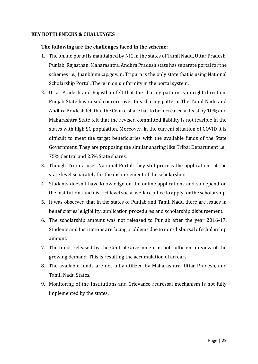#### **KEY BOTTLENECKS & CHALLENGES**

#### **The following are the challenges faced in the scheme:**

- 1. The online portal is maintained by NIC in the states of Tamil Nadu, Uttar Pradesh, Punjab, Rajasthan, Maharashtra. Andhra Pradesh state has separate portal for the schemes i.e., Jnanbhumi.ap.gov.in. Tripura is the only state that is using National Scholarship Portal. There in on uniformity in the portal system.
- 2. Uttar Pradesh and Rajasthan felt that the sharing pattern is in right direction. Punjab State has raised concern over this sharing pattern. The Tamil Nadu and Andhra Pradesh felt that the Centre share has to be increased at least by 10% and Maharashtra State felt that the revised committed liability is not feasible in the states with high SC population. Moreover, in the current situation of COVID it is difficult to meet the target beneficiaries with the available funds of the State Government. They are proposing the similar sharing like Tribal Department i.e., 75% Central and 25% State shares.
- 3. Though Tripura uses National Portal, they still process the applications at the state level separately for the disbursement of the scholarships.
- 4. Students doesn't have knowledge on the online applications and so depend on the institutions and district level social welfare office to apply for the scholarship.
- 5. It was observed that in the states of Punjab and Tamil Nadu there are issues in beneficiaries' eligibility, application procedures and scholarship disbursement.
- 6. The scholarship amount was not released to Punjab after the year 2016-17. Students and Institutions are facing problems due to non-disbursal of scholarship amount.
- 7. The funds released by the Central Government is not sufficient in view of the growing demand. This is resulting the accumulation of arrears.
- 8. The available funds are not fully utilized by Maharashtra, Uttar Pradesh, and Tamil Nadu States.
- 9. Monitoring of the Institutions and Grievance redressal mechanism is not fully implemented by the states.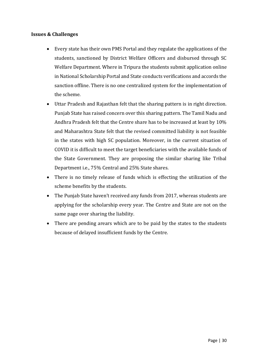# **Issues & Challenges**

- Every state has their own PMS Portal and they regulate the applications of the students, sanctioned by District Welfare Officers and disbursed through SC Welfare Department. Where in Tripura the students submit application online in National Scholarship Portal and State conducts verifications and accords the sanction offline. There is no one centralized system for the implementation of the scheme.
- Uttar Pradesh and Rajasthan felt that the sharing pattern is in right direction. Punjab State has raised concern over this sharing pattern. The Tamil Nadu and Andhra Pradesh felt that the Centre share has to be increased at least by 10% and Maharashtra State felt that the revised committed liability is not feasible in the states with high SC population. Moreover, in the current situation of COVID it is difficult to meet the target beneficiaries with the available funds of the State Government. They are proposing the similar sharing like Tribal Department i.e., 75% Central and 25% State shares.
- There is no timely release of funds which is effecting the utilization of the scheme benefits by the students.
- The Punjab State haven't received any funds from 2017, whereas students are applying for the scholarship every year. The Centre and State are not on the same page over sharing the liability.
- There are pending arears which are to be paid by the states to the students because of delayed insufficient funds by the Centre.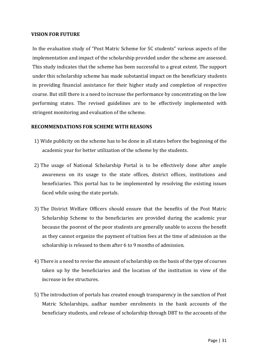#### **VISION FOR FUTURE**

In the evaluation study of "Post Matric Scheme for SC students" various aspects of the implementation and impact of the scholarship provided under the scheme are assessed. This study indicates that the scheme has been successful to a great extent. The support under this scholarship scheme has made substantial impact on the beneficiary students in providing financial assistance for their higher study and completion of respective course. But still there is a need to increase the performance by concentrating on the low performing states. The revised guidelines are to be effectively implemented with stringent monitoring and evaluation of the scheme.

#### **RECOMMENDATIONS FOR SCHEME WITH REASONS**

- 1) Wide publicity on the scheme has to be done in all states before the beginning of the academic year for better utilization of the scheme by the students.
- 2) The usage of National Scholarship Portal is to be effectively done after ample awareness on its usage to the state offices, district offices, institutions and beneficiaries. This portal has to be implemented by resolving the existing issues faced while using the state portals.
- 3) The District Welfare Officers should ensure that the benefits of the Post Matric Scholarship Scheme to the beneficiaries are provided during the academic year because the poorest of the poor students are generally unable to access the benefit as they cannot organize the payment of tuition fees at the time of admission as the scholarship is released to them after 6 to 9 months of admission.
- 4) There is a need to revise the amount of scholarship on the basis of the type of courses taken up by the beneficiaries and the location of the institution in view of the increase in fee structures.
- 5) The introduction of portals has created enough transparency in the sanction of Post Matric Scholarships, aadhar number enrolments in the bank accounts of the beneficiary students, and release of scholarship through DBT to the accounts of the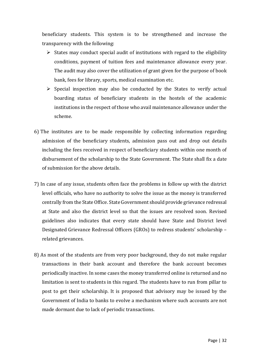beneficiary students. This system is to be strengthened and increase the transparency with the following:

- $\triangleright$  States may conduct special audit of institutions with regard to the eligibility conditions, payment of tuition fees and maintenance allowance every year. The audit may also cover the utilization of grant given for the purpose of book bank, fees for library, sports, medical examination etc.
- $\triangleright$  Special inspection may also be conducted by the States to verify actual boarding status of beneficiary students in the hostels of the academic institutions in the respect of those who avail maintenance allowance under the scheme.
- 6) The institutes are to be made responsible by collecting information regarding admission of the beneficiary students, admission pass out and drop out details including the fees received in respect of beneficiary students within one month of disbursement of the scholarship to the State Government. The State shall fix a date of submission for the above details.
- 7) In case of any issue, students often face the problems in follow up with the district level officials, who have no authority to solve the issue as the money is transferred centrally from the State Office. State Government should provide grievance redressal at State and also the district level so that the issues are resolved soon. Revised guidelines also indicates that every state should have State and District level Designated Grievance Redressal Officers (GROs) to redress students' scholarship – related grievances.
- 8) As most of the students are from very poor background, they do not make regular transactions in their bank account and therefore the bank account becomes periodically inactive. In some cases the money transferred online is returned and no limitation is sent to students in this regard. The students have to run from pillar to post to get their scholarship. It is proposed that advisory may be issued by the Government of India to banks to evolve a mechanism where such accounts are not made dormant due to lack of periodic transactions.